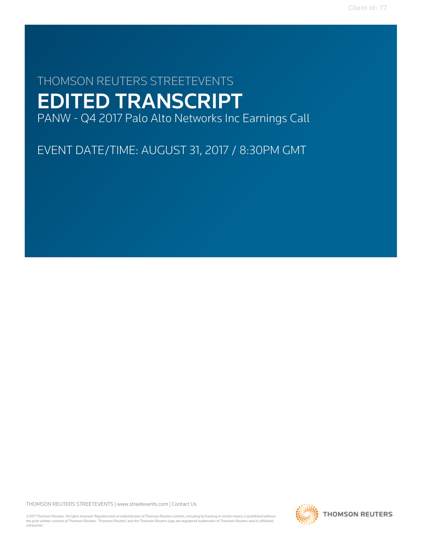# THOMSON REUTERS STREETEVENTS EDITED TRANSCRIPT PANW - Q4 2017 Palo Alto Networks Inc Earnings Call

EVENT DATE/TIME: AUGUST 31, 2017 / 8:30PM GMT

THOMSON REUTERS STREETEVENTS | [www.streetevents.com](http://www.streetevents.com) | [Contact Us](http://www010.streetevents.com/contact.asp)

©2017 Thomson Reuters. All rights reserved. Republication or redistribution of Thomson Reuters content, including by framing or similar means, is prohibited without the prior written consent of Thomson Reuters. 'Thomson Reuters' and the Thomson Reuters logo are registered trademarks of Thomson Reuters and its affiliated companies.

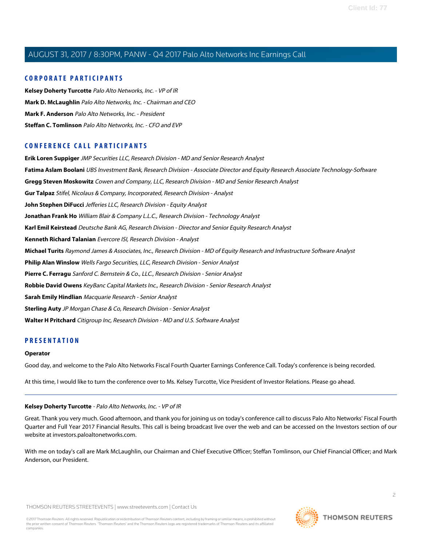# **CORPORATE PARTICIPANTS**

**[Kelsey Doherty Turcotte](#page-1-0)** Palo Alto Networks, Inc. - VP of IR **[Mark D. McLaughlin](#page-2-0)** Palo Alto Networks, Inc. - Chairman and CEO **[Mark F. Anderson](#page-11-0)** Palo Alto Networks, Inc. - President **[Steffan C. Tomlinson](#page-4-0)** Palo Alto Networks, Inc. - CFO and EVP

# **CONFERENCE CALL PARTICIPANTS**

**[Erik Loren Suppiger](#page-15-0)** JMP Securities LLC, Research Division - MD and Senior Research Analyst **[Fatima Aslam Boolani](#page-15-1)** UBS Investment Bank, Research Division - Associate Director and Equity Research Associate Technology-Software **[Gregg Steven Moskowitz](#page-14-0)** Cowen and Company, LLC, Research Division - MD and Senior Research Analyst **[Gur Talpaz](#page-12-0)** Stifel, Nicolaus & Company, Incorporated, Research Division - Analyst **[John Stephen DiFucci](#page-10-0)** Jefferies LLC, Research Division - Equity Analyst **[Jonathan Frank Ho](#page-9-0)** William Blair & Company L.L.C., Research Division - Technology Analyst **[Karl Emil Keirstead](#page-16-0)** Deutsche Bank AG, Research Division - Director and Senior Equity Research Analyst **[Kenneth Richard Talanian](#page-6-0)** Evercore ISI, Research Division - Analyst **[Michael Turits](#page-6-1)** Raymond James & Associates, Inc., Research Division - MD of Equity Research and Infrastructure Software Analyst **[Philip Alan Winslow](#page-7-0)** Wells Fargo Securities, LLC, Research Division - Senior Analyst **[Pierre C. Ferragu](#page-8-0)** Sanford C. Bernstein & Co., LLC., Research Division - Senior Analyst **[Robbie David Owens](#page-9-1)** KeyBanc Capital Markets Inc., Research Division - Senior Research Analyst **[Sarah Emily Hindlian](#page-11-1)** Macquarie Research - Senior Analyst **[Sterling Auty](#page-13-0)** JP Morgan Chase & Co, Research Division - Senior Analyst **[Walter H Pritchard](#page-7-1)** Citigroup Inc, Research Division - MD and U.S. Software Analyst

# **PRESENTATION**

### **Operator**

<span id="page-1-0"></span>Good day, and welcome to the Palo Alto Networks Fiscal Fourth Quarter Earnings Conference Call. Today's conference is being recorded.

At this time, I would like to turn the conference over to Ms. Kelsey Turcotte, Vice President of Investor Relations. Please go ahead.

### **Kelsey Doherty Turcotte** - Palo Alto Networks, Inc. - VP of IR

Great. Thank you very much. Good afternoon, and thank you for joining us on today's conference call to discuss Palo Alto Networks' Fiscal Fourth Quarter and Full Year 2017 Financial Results. This call is being broadcast live over the web and can be accessed on the Investors section of our website at investors.paloaltonetworks.com.

With me on today's call are Mark McLaughlin, our Chairman and Chief Executive Officer; Steffan Tomlinson, our Chief Financial Officer; and Mark Anderson, our President.

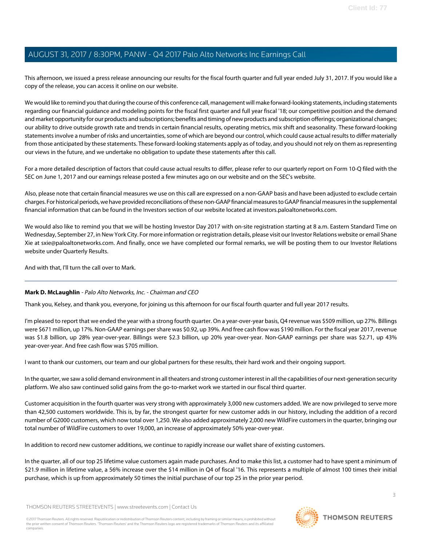This afternoon, we issued a press release announcing our results for the fiscal fourth quarter and full year ended July 31, 2017. If you would like a copy of the release, you can access it online on our website.

We would like to remind you that during the course of this conference call, management will make forward-looking statements, including statements regarding our financial guidance and modeling points for the fiscal first quarter and full year fiscal '18; our competitive position and the demand and market opportunity for our products and subscriptions; benefits and timing of new products and subscription offerings; organizational changes; our ability to drive outside growth rate and trends in certain financial results, operating metrics, mix shift and seasonality. These forward-looking statements involve a number of risks and uncertainties, some of which are beyond our control, which could cause actual results to differ materially from those anticipated by these statements. These forward-looking statements apply as of today, and you should not rely on them as representing our views in the future, and we undertake no obligation to update these statements after this call.

For a more detailed description of factors that could cause actual results to differ, please refer to our quarterly report on Form 10-Q filed with the SEC on June 1, 2017 and our earnings release posted a few minutes ago on our website and on the SEC's website.

Also, please note that certain financial measures we use on this call are expressed on a non-GAAP basis and have been adjusted to exclude certain charges. For historical periods, we have provided reconciliations of these non-GAAP financial measures to GAAP financial measures in the supplemental financial information that can be found in the Investors section of our website located at investors.paloaltonetworks.com.

We would also like to remind you that we will be hosting Investor Day 2017 with on-site registration starting at 8 a.m. Eastern Standard Time on Wednesday, September 27, in New York City. For more information or registration details, please visit our Investor Relations website or email Shane Xie at sxie@paloaltonetworks.com. And finally, once we have completed our formal remarks, we will be posting them to our Investor Relations website under Quarterly Results.

<span id="page-2-0"></span>And with that, I'll turn the call over to Mark.

# **Mark D. McLaughlin** - Palo Alto Networks, Inc. - Chairman and CEO

Thank you, Kelsey, and thank you, everyone, for joining us this afternoon for our fiscal fourth quarter and full year 2017 results.

I'm pleased to report that we ended the year with a strong fourth quarter. On a year-over-year basis, Q4 revenue was \$509 million, up 27%. Billings were \$671 million, up 17%. Non-GAAP earnings per share was \$0.92, up 39%. And free cash flow was \$190 million. For the fiscal year 2017, revenue was \$1.8 billion, up 28% year-over-year. Billings were \$2.3 billion, up 20% year-over-year. Non-GAAP earnings per share was \$2.71, up 43% year-over-year. And free cash flow was \$705 million.

I want to thank our customers, our team and our global partners for these results, their hard work and their ongoing support.

In the quarter, we saw a solid demand environment in all theaters and strong customer interest in all the capabilities of our next-generation security platform. We also saw continued solid gains from the go-to-market work we started in our fiscal third quarter.

Customer acquisition in the fourth quarter was very strong with approximately 3,000 new customers added. We are now privileged to serve more than 42,500 customers worldwide. This is, by far, the strongest quarter for new customer adds in our history, including the addition of a record number of G2000 customers, which now total over 1,250. We also added approximately 2,000 new WildFire customers in the quarter, bringing our total number of WildFire customers to over 19,000, an increase of approximately 50% year-over-year.

In addition to record new customer additions, we continue to rapidly increase our wallet share of existing customers.

In the quarter, all of our top 25 lifetime value customers again made purchases. And to make this list, a customer had to have spent a minimum of \$21.9 million in lifetime value, a 56% increase over the \$14 million in Q4 of fiscal '16. This represents a multiple of almost 100 times their initial purchase, which is up from approximately 50 times the initial purchase of our top 25 in the prior year period.

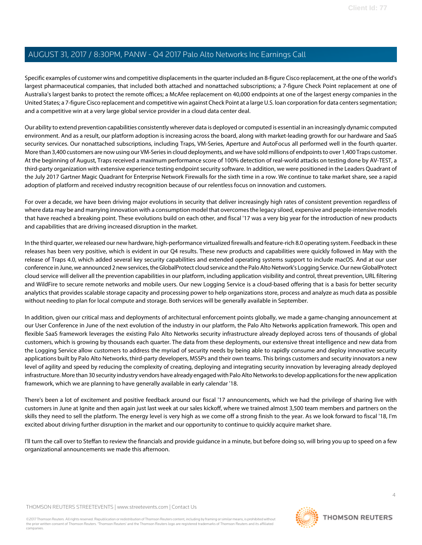Specific examples of customer wins and competitive displacements in the quarter included an 8-figure Cisco replacement, at the one of the world's largest pharmaceutical companies, that included both attached and nonattached subscriptions; a 7-figure Check Point replacement at one of Australia's largest banks to protect the remote offices; a McAfee replacement on 40,000 endpoints at one of the largest energy companies in the United States; a 7-figure Cisco replacement and competitive win against Check Point at a large U.S. loan corporation for data centers segmentation; and a competitive win at a very large global service provider in a cloud data center deal.

Our ability to extend prevention capabilities consistently wherever data is deployed or computed is essential in an increasingly dynamic computed environment. And as a result, our platform adoption is increasing across the board, along with market-leading growth for our hardware and SaaS security services. Our nonattached subscriptions, including Traps, VM-Series, Aperture and AutoFocus all performed well in the fourth quarter. More than 3,400 customers are now using our VM-Series in cloud deployments, and we have sold millions of endpoints to over 1,400 Traps customer. At the beginning of August, Traps received a maximum performance score of 100% detection of real-world attacks on testing done by AV-TEST, a third-party organization with extensive experience testing endpoint security software. In addition, we were positioned in the Leaders Quadrant of the July 2017 Gartner Magic Quadrant for Enterprise Network Firewalls for the sixth time in a row. We continue to take market share, see a rapid adoption of platform and received industry recognition because of our relentless focus on innovation and customers.

For over a decade, we have been driving major evolutions in security that deliver increasingly high rates of consistent prevention regardless of where data may be and marrying innovation with a consumption model that overcomes the legacy siloed, expensive and people-intensive models that have reached a breaking point. These evolutions build on each other, and fiscal '17 was a very big year for the introduction of new products and capabilities that are driving increased disruption in the market.

In the third quarter, we released our new hardware, high-performance virtualized firewalls and feature-rich 8.0 operating system. Feedback in these releases has been very positive, which is evident in our Q4 results. These new products and capabilities were quickly followed in May with the release of Traps 4.0, which added several key security capabilities and extended operating systems support to include macOS. And at our user conference in June, we announced 2 new services, the GlobalProtect cloud service and the Palo Alto Network's Logging Service. Our new GlobalProtect cloud service will deliver all the prevention capabilities in our platform, including application visibility and control, threat prevention, URL filtering and WildFire to secure remote networks and mobile users. Our new Logging Service is a cloud-based offering that is a basis for better security analytics that provides scalable storage capacity and processing power to help organizations store, process and analyze as much data as possible without needing to plan for local compute and storage. Both services will be generally available in September.

In addition, given our critical mass and deployments of architectural enforcement points globally, we made a game-changing announcement at our User Conference in June of the next evolution of the industry in our platform, the Palo Alto Networks application framework. This open and flexible SaaS framework leverages the existing Palo Alto Networks security infrastructure already deployed across tens of thousands of global customers, which is growing by thousands each quarter. The data from these deployments, our extensive threat intelligence and new data from the Logging Service allow customers to address the myriad of security needs by being able to rapidly consume and deploy innovative security applications built by Palo Alto Networks, third-party developers, MSSPs and their own teams. This brings customers and security innovators a new level of agility and speed by reducing the complexity of creating, deploying and integrating security innovation by leveraging already deployed infrastructure. More than 30 security industry vendors have already engaged with Palo Alto Networks to develop applications for the new application framework, which we are planning to have generally available in early calendar '18.

There's been a lot of excitement and positive feedback around our fiscal '17 announcements, which we had the privilege of sharing live with customers in June at Ignite and then again just last week at our sales kickoff, where we trained almost 3,500 team members and partners on the skills they need to sell the platform. The energy level is very high as we come off a strong finish to the year. As we look forward to fiscal '18, I'm excited about driving further disruption in the market and our opportunity to continue to quickly acquire market share.

I'll turn the call over to Steffan to review the financials and provide guidance in a minute, but before doing so, will bring you up to speed on a few organizational announcements we made this afternoon.

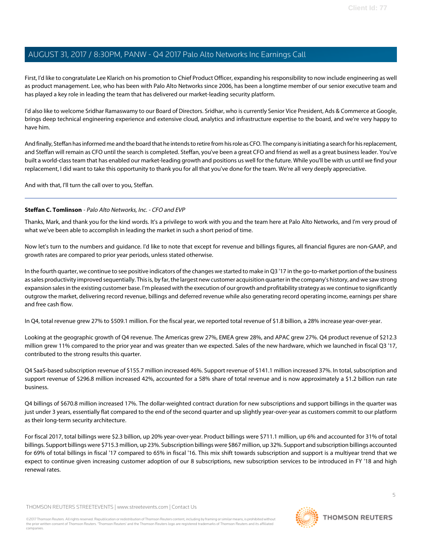First, I'd like to congratulate Lee Klarich on his promotion to Chief Product Officer, expanding his responsibility to now include engineering as well as product management. Lee, who has been with Palo Alto Networks since 2006, has been a longtime member of our senior executive team and has played a key role in leading the team that has delivered our market-leading security platform.

I'd also like to welcome Sridhar Ramaswamy to our Board of Directors. Sridhar, who is currently Senior Vice President, Ads & Commerce at Google, brings deep technical engineering experience and extensive cloud, analytics and infrastructure expertise to the board, and we're very happy to have him.

And finally, Steffan has informed me and the board that he intends to retire from his role as CFO. The company is initiating a search for his replacement, and Steffan will remain as CFO until the search is completed. Steffan, you've been a great CFO and friend as well as a great business leader. You've built a world-class team that has enabled our market-leading growth and positions us well for the future. While you'll be with us until we find your replacement, I did want to take this opportunity to thank you for all that you've done for the team. We're all very deeply appreciative.

<span id="page-4-0"></span>And with that, I'll turn the call over to you, Steffan.

# **Steffan C. Tomlinson** - Palo Alto Networks, Inc. - CFO and EVP

Thanks, Mark, and thank you for the kind words. It's a privilege to work with you and the team here at Palo Alto Networks, and I'm very proud of what we've been able to accomplish in leading the market in such a short period of time.

Now let's turn to the numbers and guidance. I'd like to note that except for revenue and billings figures, all financial figures are non-GAAP, and growth rates are compared to prior year periods, unless stated otherwise.

In the fourth quarter, we continue to see positive indicators of the changes we started to make in Q3 '17 in the go-to-market portion of the business as sales productivity improved sequentially. This is, by far, the largest new customer acquisition quarter in the company's history, and we saw strong expansion sales in the existing customer base. I'm pleased with the execution of our growth and profitability strategy as we continue to significantly outgrow the market, delivering record revenue, billings and deferred revenue while also generating record operating income, earnings per share and free cash flow.

In Q4, total revenue grew 27% to \$509.1 million. For the fiscal year, we reported total revenue of \$1.8 billion, a 28% increase year-over-year.

Looking at the geographic growth of Q4 revenue. The Americas grew 27%, EMEA grew 28%, and APAC grew 27%. Q4 product revenue of \$212.3 million grew 11% compared to the prior year and was greater than we expected. Sales of the new hardware, which we launched in fiscal Q3 '17, contributed to the strong results this quarter.

Q4 SaaS-based subscription revenue of \$155.7 million increased 46%. Support revenue of \$141.1 million increased 37%. In total, subscription and support revenue of \$296.8 million increased 42%, accounted for a 58% share of total revenue and is now approximately a \$1.2 billion run rate business.

Q4 billings of \$670.8 million increased 17%. The dollar-weighted contract duration for new subscriptions and support billings in the quarter was just under 3 years, essentially flat compared to the end of the second quarter and up slightly year-over-year as customers commit to our platform as their long-term security architecture.

For fiscal 2017, total billings were \$2.3 billion, up 20% year-over-year. Product billings were \$711.1 million, up 6% and accounted for 31% of total billings. Support billings were \$715.3 million, up 23%. Subscription billings were \$867 million, up 32%. Support and subscription billings accounted for 69% of total billings in fiscal '17 compared to 65% in fiscal '16. This mix shift towards subscription and support is a multiyear trend that we expect to continue given increasing customer adoption of our 8 subscriptions, new subscription services to be introduced in FY '18 and high renewal rates.

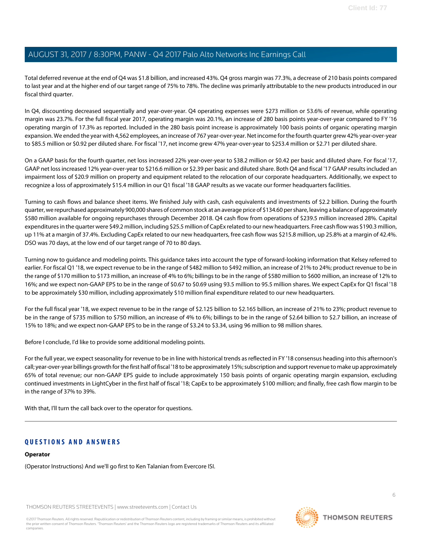Total deferred revenue at the end of Q4 was \$1.8 billion, and increased 43%. Q4 gross margin was 77.3%, a decrease of 210 basis points compared to last year and at the higher end of our target range of 75% to 78%. The decline was primarily attributable to the new products introduced in our fiscal third quarter.

In Q4, discounting decreased sequentially and year-over-year. Q4 operating expenses were \$273 million or 53.6% of revenue, while operating margin was 23.7%. For the full fiscal year 2017, operating margin was 20.1%, an increase of 280 basis points year-over-year compared to FY '16 operating margin of 17.3% as reported. Included in the 280 basis point increase is approximately 100 basis points of organic operating margin expansion. We ended the year with 4,562 employees, an increase of 767 year-over-year. Net income for the fourth quarter grew 42% year-over-year to \$85.5 million or \$0.92 per diluted share. For fiscal '17, net income grew 47% year-over-year to \$253.4 million or \$2.71 per diluted share.

On a GAAP basis for the fourth quarter, net loss increased 22% year-over-year to \$38.2 million or \$0.42 per basic and diluted share. For fiscal '17, GAAP net loss increased 12% year-over-year to \$216.6 million or \$2.39 per basic and diluted share. Both Q4 and fiscal '17 GAAP results included an impairment loss of \$20.9 million on property and equipment related to the relocation of our corporate headquarters. Additionally, we expect to recognize a loss of approximately \$15.4 million in our Q1 fiscal '18 GAAP results as we vacate our former headquarters facilities.

Turning to cash flows and balance sheet items. We finished July with cash, cash equivalents and investments of \$2.2 billion. During the fourth quarter, we repurchased approximately 900,000 shares of common stock at an average price of \$134.60 per share, leaving a balance of approximately \$580 million available for ongoing repurchases through December 2018. Q4 cash flow from operations of \$239.5 million increased 28%. Capital expenditures in the quarter were \$49.2 million, including \$25.5 million of CapEx related to our new headquarters. Free cash flow was \$190.3 million, up 11% at a margin of 37.4%. Excluding CapEx related to our new headquarters, free cash flow was \$215.8 million, up 25.8% at a margin of 42.4%. DSO was 70 days, at the low end of our target range of 70 to 80 days.

Turning now to guidance and modeling points. This guidance takes into account the type of forward-looking information that Kelsey referred to earlier. For fiscal Q1 '18, we expect revenue to be in the range of \$482 million to \$492 million, an increase of 21% to 24%; product revenue to be in the range of \$170 million to \$173 million, an increase of 4% to 6%; billings to be in the range of \$580 million to \$600 million, an increase of 12% to 16%; and we expect non-GAAP EPS to be in the range of \$0.67 to \$0.69 using 93.5 million to 95.5 million shares. We expect CapEx for Q1 fiscal '18 to be approximately \$30 million, including approximately \$10 million final expenditure related to our new headquarters.

For the full fiscal year '18, we expect revenue to be in the range of \$2.125 billion to \$2.165 billion, an increase of 21% to 23%; product revenue to be in the range of \$735 million to \$750 million, an increase of 4% to 6%; billings to be in the range of \$2.64 billion to \$2.7 billion, an increase of 15% to 18%; and we expect non-GAAP EPS to be in the range of \$3.24 to \$3.34, using 96 million to 98 million shares.

Before I conclude, I'd like to provide some additional modeling points.

For the full year, we expect seasonality for revenue to be in line with historical trends as reflected in FY '18 consensus heading into this afternoon's call; year-over-year billings growth for the first half of fiscal '18 to be approximately 15%; subscription and support revenue to make up approximately 65% of total revenue; our non-GAAP EPS guide to include approximately 150 basis points of organic operating margin expansion, excluding continued investments in LightCyber in the first half of fiscal '18; CapEx to be approximately \$100 million; and finally, free cash flow margin to be in the range of 37% to 39%.

With that, I'll turn the call back over to the operator for questions.

# **QUESTIONS AND ANSWERS**

### **Operator**

(Operator Instructions) And we'll go first to Ken Talanian from Evercore ISI.

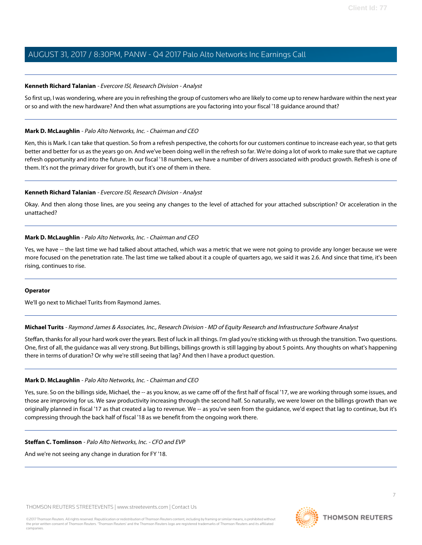### <span id="page-6-0"></span>**Kenneth Richard Talanian** - Evercore ISI, Research Division - Analyst

So first up, I was wondering, where are you in refreshing the group of customers who are likely to come up to renew hardware within the next year or so and with the new hardware? And then what assumptions are you factoring into your fiscal '18 guidance around that?

### **Mark D. McLaughlin** - Palo Alto Networks, Inc. - Chairman and CEO

Ken, this is Mark. I can take that question. So from a refresh perspective, the cohorts for our customers continue to increase each year, so that gets better and better for us as the years go on. And we've been doing well in the refresh so far. We're doing a lot of work to make sure that we capture refresh opportunity and into the future. In our fiscal '18 numbers, we have a number of drivers associated with product growth. Refresh is one of them. It's not the primary driver for growth, but it's one of them in there.

### **Kenneth Richard Talanian** - Evercore ISI, Research Division - Analyst

Okay. And then along those lines, are you seeing any changes to the level of attached for your attached subscription? Or acceleration in the unattached?

# **Mark D. McLaughlin** - Palo Alto Networks, Inc. - Chairman and CEO

Yes, we have -- the last time we had talked about attached, which was a metric that we were not going to provide any longer because we were more focused on the penetration rate. The last time we talked about it a couple of quarters ago, we said it was 2.6. And since that time, it's been rising, continues to rise.

### <span id="page-6-1"></span>**Operator**

We'll go next to Michael Turits from Raymond James.

**Michael Turits** - Raymond James & Associates, Inc., Research Division - MD of Equity Research and Infrastructure Software Analyst

Steffan, thanks for all your hard work over the years. Best of luck in all things. I'm glad you're sticking with us through the transition. Two questions. One, first of all, the guidance was all very strong. But billings, billings growth is still lagging by about 5 points. Any thoughts on what's happening there in terms of duration? Or why we're still seeing that lag? And then I have a product question.

### **Mark D. McLaughlin** - Palo Alto Networks, Inc. - Chairman and CEO

Yes, sure. So on the billings side, Michael, the -- as you know, as we came off of the first half of fiscal '17, we are working through some issues, and those are improving for us. We saw productivity increasing through the second half. So naturally, we were lower on the billings growth than we originally planned in fiscal '17 as that created a lag to revenue. We -- as you've seen from the guidance, we'd expect that lag to continue, but it's compressing through the back half of fiscal '18 as we benefit from the ongoing work there.

### **Steffan C. Tomlinson** - Palo Alto Networks, Inc. - CFO and EVP

And we're not seeing any change in duration for FY '18.



**THOMSON REUTERS**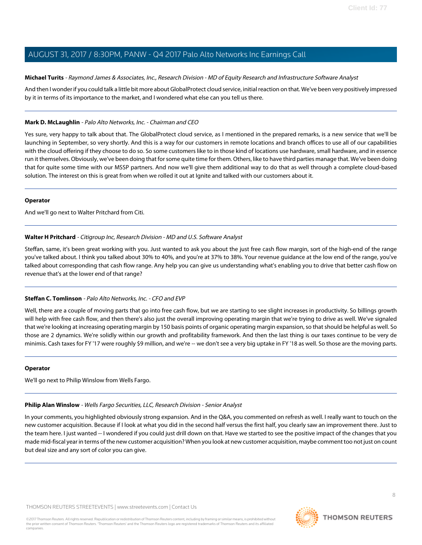# **Michael Turits** - Raymond James & Associates, Inc., Research Division - MD of Equity Research and Infrastructure Software Analyst

And then I wonder if you could talk a little bit more about GlobalProtect cloud service, initial reaction on that. We've been very positively impressed by it in terms of its importance to the market, and I wondered what else can you tell us there.

# **Mark D. McLaughlin** - Palo Alto Networks, Inc. - Chairman and CEO

Yes sure, very happy to talk about that. The GlobalProtect cloud service, as I mentioned in the prepared remarks, is a new service that we'll be launching in September, so very shortly. And this is a way for our customers in remote locations and branch offices to use all of our capabilities with the cloud offering if they choose to do so. So some customers like to in those kind of locations use hardware, small hardware, and in essence run it themselves. Obviously, we've been doing that for some quite time for them. Others, like to have third parties manage that. We've been doing that for quite some time with our MSSP partners. And now we'll give them additional way to do that as well through a complete cloud-based solution. The interest on this is great from when we rolled it out at Ignite and talked with our customers about it.

### **Operator**

<span id="page-7-1"></span>And we'll go next to Walter Pritchard from Citi.

# **Walter H Pritchard** - Citigroup Inc, Research Division - MD and U.S. Software Analyst

Steffan, same, it's been great working with you. Just wanted to ask you about the just free cash flow margin, sort of the high-end of the range you've talked about. I think you talked about 30% to 40%, and you're at 37% to 38%. Your revenue guidance at the low end of the range, you've talked about corresponding that cash flow range. Any help you can give us understanding what's enabling you to drive that better cash flow on revenue that's at the lower end of that range?

# **Steffan C. Tomlinson** - Palo Alto Networks, Inc. - CFO and EVP

Well, there are a couple of moving parts that go into free cash flow, but we are starting to see slight increases in productivity. So billings growth will help with free cash flow, and then there's also just the overall improving operating margin that we're trying to drive as well. We've signaled that we're looking at increasing operating margin by 150 basis points of organic operating margin expansion, so that should be helpful as well. So those are 2 dynamics. We're solidly within our growth and profitability framework. And then the last thing is our taxes continue to be very de minimis. Cash taxes for FY '17 were roughly \$9 million, and we're -- we don't see a very big uptake in FY '18 as well. So those are the moving parts.

# <span id="page-7-0"></span>**Operator**

We'll go next to Philip Winslow from Wells Fargo.

### **Philip Alan Winslow** - Wells Fargo Securities, LLC, Research Division - Senior Analyst

In your comments, you highlighted obviously strong expansion. And in the Q&A, you commented on refresh as well. I really want to touch on the new customer acquisition. Because if I look at what you did in the second half versus the first half, you clearly saw an improvement there. Just to the team here. I just wanted -- I wondered if you could just drill down on that. Have we started to see the positive impact of the changes that you made mid-fiscal year in terms of the new customer acquisition? When you look at new customer acquisition, maybe comment too not just on count but deal size and any sort of color you can give.

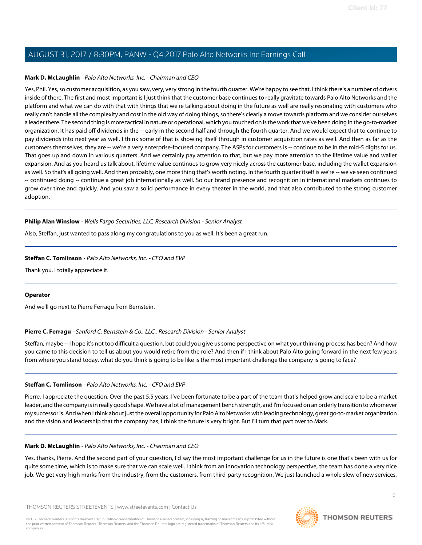### **Mark D. McLaughlin** - Palo Alto Networks, Inc. - Chairman and CEO

Yes, Phil. Yes, so customer acquisition, as you saw, very, very strong in the fourth quarter. We're happy to see that. I think there's a number of drivers inside of there. The first and most important is I just think that the customer base continues to really gravitate towards Palo Alto Networks and the platform and what we can do with that with things that we're talking about doing in the future as well are really resonating with customers who really can't handle all the complexity and cost in the old way of doing things, so there's clearly a move towards platform and we consider ourselves a leader there. The second thing is more tactical in nature or operational, which you touched on is the work that we've been doing in the go-to-market organization. It has paid off dividends in the -- early in the second half and through the fourth quarter. And we would expect that to continue to pay dividends into next year as well. I think some of that is showing itself through in customer acquisition rates as well. And then as far as the customers themselves, they are -- we're a very enterprise-focused company. The ASPs for customers is -- continue to be in the mid-5 digits for us. That goes up and down in various quarters. And we certainly pay attention to that, but we pay more attention to the lifetime value and wallet expansion. And as you heard us talk about, lifetime value continues to grow very nicely across the customer base, including the wallet expansion as well. So that's all going well. And then probably, one more thing that's worth noting. In the fourth quarter itself is we're -- we've seen continued -- continued doing -- continue a great job internationally as well. So our brand presence and recognition in international markets continues to grow over time and quickly. And you saw a solid performance in every theater in the world, and that also contributed to the strong customer adoption.

# **Philip Alan Winslow** - Wells Fargo Securities, LLC, Research Division - Senior Analyst

Also, Steffan, just wanted to pass along my congratulations to you as well. It's been a great run.

# **Steffan C. Tomlinson** - Palo Alto Networks, Inc. - CFO and EVP

Thank you. I totally appreciate it.

### <span id="page-8-0"></span>**Operator**

And we'll go next to Pierre Ferragu from Bernstein.

### **Pierre C. Ferragu** - Sanford C. Bernstein & Co., LLC., Research Division - Senior Analyst

Steffan, maybe -- I hope it's not too difficult a question, but could you give us some perspective on what your thinking process has been? And how you came to this decision to tell us about you would retire from the role? And then if I think about Palo Alto going forward in the next few years from where you stand today, what do you think is going to be like is the most important challenge the company is going to face?

### **Steffan C. Tomlinson** - Palo Alto Networks, Inc. - CFO and EVP

Pierre, I appreciate the question. Over the past 5.5 years, I've been fortunate to be a part of the team that's helped grow and scale to be a market leader, and the company is in really good shape. We have a lot of management bench strength, and I'm focused on an orderly transition to whomever my successor is. And when I think about just the overall opportunity for Palo Alto Networks with leading technology, great go-to-market organization and the vision and leadership that the company has, I think the future is very bright. But I'll turn that part over to Mark.

### **Mark D. McLaughlin** - Palo Alto Networks, Inc. - Chairman and CEO

Yes, thanks, Pierre. And the second part of your question, I'd say the most important challenge for us in the future is one that's been with us for quite some time, which is to make sure that we can scale well. I think from an innovation technology perspective, the team has done a very nice job. We get very high marks from the industry, from the customers, from third-party recognition. We just launched a whole slew of new services,

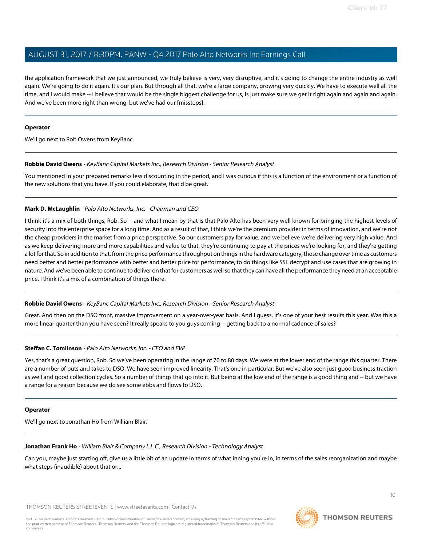the application framework that we just announced, we truly believe is very, very disruptive, and it's going to change the entire industry as well again. We're going to do it again. It's our plan. But through all that, we're a large company, growing very quickly. We have to execute well all the time, and I would make -- I believe that would be the single biggest challenge for us, is just make sure we get it right again and again and again. And we've been more right than wrong, but we've had our [missteps].

### **Operator**

<span id="page-9-1"></span>We'll go next to Rob Owens from KeyBanc.

### **Robbie David Owens** - KeyBanc Capital Markets Inc., Research Division - Senior Research Analyst

You mentioned in your prepared remarks less discounting in the period, and I was curious if this is a function of the environment or a function of the new solutions that you have. If you could elaborate, that'd be great.

# **Mark D. McLaughlin** - Palo Alto Networks, Inc. - Chairman and CEO

I think it's a mix of both things, Rob. So -- and what I mean by that is that Palo Alto has been very well known for bringing the highest levels of security into the enterprise space for a long time. And as a result of that, I think we're the premium provider in terms of innovation, and we're not the cheap providers in the market from a price perspective. So our customers pay for value, and we believe we're delivering very high value. And as we keep delivering more and more capabilities and value to that, they're continuing to pay at the prices we're looking for, and they're getting a lot for that. So in addition to that, from the price performance throughput on things in the hardware category, those change over time as customers need better and better performance with better and better price for performance, to do things like SSL decrypt and use cases that are growing in nature. And we've been able to continue to deliver on that for customers as well so that they can have all the performance they need at an acceptable price. I think it's a mix of a combination of things there.

# **Robbie David Owens** - KeyBanc Capital Markets Inc., Research Division - Senior Research Analyst

Great. And then on the DSO front, massive improvement on a year-over-year basis. And I guess, it's one of your best results this year. Was this a more linear quarter than you have seen? It really speaks to you guys coming -- getting back to a normal cadence of sales?

# **Steffan C. Tomlinson** - Palo Alto Networks, Inc. - CFO and EVP

Yes, that's a great question, Rob. So we've been operating in the range of 70 to 80 days. We were at the lower end of the range this quarter. There are a number of puts and takes to DSO. We have seen improved linearity. That's one in particular. But we've also seen just good business traction as well and good collection cycles. So a number of things that go into it. But being at the low end of the range is a good thing and -- but we have a range for a reason because we do see some ebbs and flows to DSO.

### <span id="page-9-0"></span>**Operator**

We'll go next to Jonathan Ho from William Blair.

### **Jonathan Frank Ho** - William Blair & Company L.L.C., Research Division - Technology Analyst

Can you, maybe just starting off, give us a little bit of an update in terms of what inning you're in, in terms of the sales reorganization and maybe what steps (inaudible) about that or...

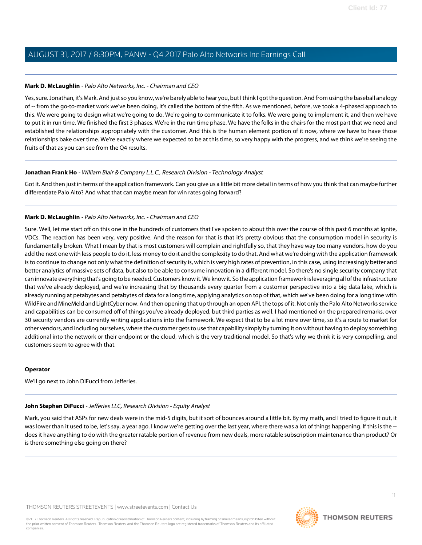# **Mark D. McLaughlin** - Palo Alto Networks, Inc. - Chairman and CEO

Yes, sure. Jonathan, it's Mark. And just so you know, we're barely able to hear you, but I think I got the question. And from using the baseball analogy of -- from the go-to-market work we've been doing, it's called the bottom of the fifth. As we mentioned, before, we took a 4-phased approach to this. We were going to design what we're going to do. We're going to communicate it to folks. We were going to implement it, and then we have to put it in run time. We finished the first 3 phases. We're in the run time phase. We have the folks in the chairs for the most part that we need and established the relationships appropriately with the customer. And this is the human element portion of it now, where we have to have those relationships bake over time. We're exactly where we expected to be at this time, so very happy with the progress, and we think we're seeing the fruits of that as you can see from the Q4 results.

# **Jonathan Frank Ho** - William Blair & Company L.L.C., Research Division - Technology Analyst

Got it. And then just in terms of the application framework. Can you give us a little bit more detail in terms of how you think that can maybe further differentiate Palo Alto? And what that can maybe mean for win rates going forward?

# **Mark D. McLaughlin** - Palo Alto Networks, Inc. - Chairman and CEO

Sure. Well, let me start off on this one in the hundreds of customers that I've spoken to about this over the course of this past 6 months at Ignite, VDCs. The reaction has been very, very positive. And the reason for that is that it's pretty obvious that the consumption model in security is fundamentally broken. What I mean by that is most customers will complain and rightfully so, that they have way too many vendors, how do you add the next one with less people to do it, less money to do it and the complexity to do that. And what we're doing with the application framework is to continue to change not only what the definition of security is, which is very high rates of prevention, in this case, using increasingly better and better analytics of massive sets of data, but also to be able to consume innovation in a different model. So there's no single security company that can innovate everything that's going to be needed. Customers know it. We know it. So the application framework is leveraging all of the infrastructure that we've already deployed, and we're increasing that by thousands every quarter from a customer perspective into a big data lake, which is already running at petabytes and petabytes of data for a long time, applying analytics on top of that, which we've been doing for a long time with WildFire and MineMeld and LightCyber now. And then opening that up through an open API, the tops of it. Not only the Palo Alto Networks service and capabilities can be consumed off of things you've already deployed, but third parties as well. I had mentioned on the prepared remarks, over 30 security vendors are currently writing applications into the framework. We expect that to be a lot more over time, so it's a route to market for other vendors, and including ourselves, where the customer gets to use that capability simply by turning it on without having to deploy something additional into the network or their endpoint or the cloud, which is the very traditional model. So that's why we think it is very compelling, and customers seem to agree with that.

### <span id="page-10-0"></span>**Operator**

We'll go next to John DiFucci from Jefferies.

# **John Stephen DiFucci** - Jefferies LLC, Research Division - Equity Analyst

Mark, you said that ASPs for new deals were in the mid-5 digits, but it sort of bounces around a little bit. By my math, and I tried to figure it out, it was lower than it used to be, let's say, a year ago. I know we're getting over the last year, where there was a lot of things happening. If this is the -does it have anything to do with the greater ratable portion of revenue from new deals, more ratable subscription maintenance than product? Or is there something else going on there?

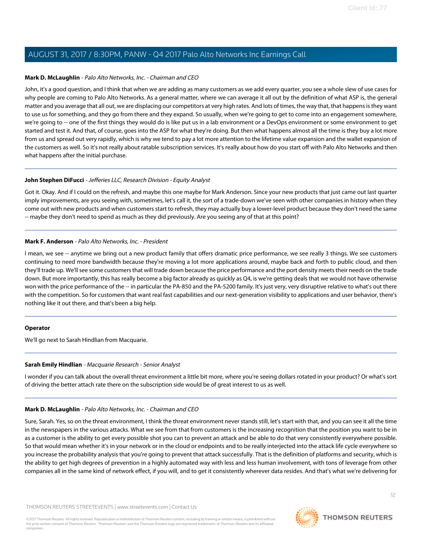### **Mark D. McLaughlin** - Palo Alto Networks, Inc. - Chairman and CEO

John, it's a good question, and I think that when we are adding as many customers as we add every quarter, you see a whole slew of use cases for why people are coming to Palo Alto Networks. As a general matter, where we can average it all out by the definition of what ASP is, the general matter and you average that all out, we are displacing our competitors at very high rates. And lots of times, the way that, that happens is they want to use us for something, and they go from there and they expand. So usually, when we're going to get to come into an engagement somewhere, we're going to -- one of the first things they would do is like put us in a lab environment or a DevOps environment or some environment to get started and test it. And that, of course, goes into the ASP for what they're doing. But then what happens almost all the time is they buy a lot more from us and spread out very rapidly, which is why we tend to pay a lot more attention to the lifetime value expansion and the wallet expansion of the customers as well. So it's not really about ratable subscription services. It's really about how do you start off with Palo Alto Networks and then what happens after the initial purchase.

# **John Stephen DiFucci** - Jefferies LLC, Research Division - Equity Analyst

Got it. Okay. And if I could on the refresh, and maybe this one maybe for Mark Anderson. Since your new products that just came out last quarter imply improvements, are you seeing with, sometimes, let's call it, the sort of a trade-down we've seen with other companies in history when they come out with new products and when customers start to refresh, they may actually buy a lower-level product because they don't need the same -- maybe they don't need to spend as much as they did previously. Are you seeing any of that at this point?

### <span id="page-11-0"></span>**Mark F. Anderson** - Palo Alto Networks, Inc. - President

I mean, we see -- anytime we bring out a new product family that offers dramatic price performance, we see really 3 things. We see customers continuing to need more bandwidth because they're moving a lot more applications around, maybe back and forth to public cloud, and then they'll trade up. We'll see some customers that will trade down because the price performance and the port density meets their needs on the trade down. But more importantly, this has really become a big factor already as quickly as Q4, is we're getting deals that we would not have otherwise won with the price performance of the -- in particular the PA-850 and the PA-5200 family. It's just very, very disruptive relative to what's out there with the competition. So for customers that want real fast capabilities and our next-generation visibility to applications and user behavior, there's nothing like it out there, and that's been a big help.

### <span id="page-11-1"></span>**Operator**

We'll go next to Sarah Hindlian from Macquarie.

### **Sarah Emily Hindlian** - Macquarie Research - Senior Analyst

I wonder if you can talk about the overall threat environment a little bit more, where you're seeing dollars rotated in your product? Or what's sort of driving the better attach rate there on the subscription side would be of great interest to us as well.

### **Mark D. McLaughlin** - Palo Alto Networks, Inc. - Chairman and CEO

Sure, Sarah. Yes, so on the threat environment, I think the threat environment never stands still, let's start with that, and you can see it all the time in the newspapers in the various attacks. What we see from that from customers is the increasing recognition that the position you want to be in as a customer is the ability to get every possible shot you can to prevent an attack and be able to do that very consistently everywhere possible. So that would mean whether it's in your network or in the cloud or endpoints and to be really interjected into the attack life cycle everywhere so you increase the probability analysis that you're going to prevent that attack successfully. That is the definition of platforms and security, which is the ability to get high degrees of prevention in a highly automated way with less and less human involvement, with tons of leverage from other companies all in the same kind of network effect, if you will, and to get it consistently wherever data resides. And that's what we're delivering for

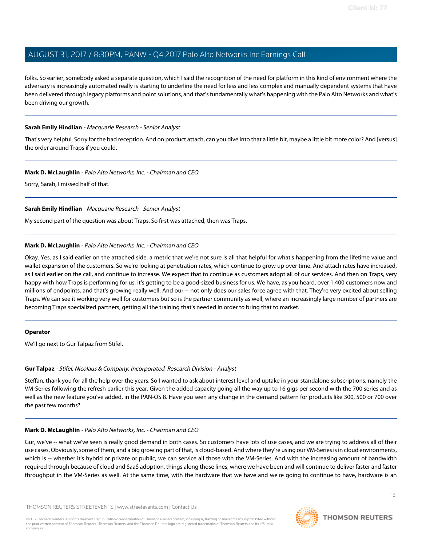folks. So earlier, somebody asked a separate question, which I said the recognition of the need for platform in this kind of environment where the adversary is increasingly automated really is starting to underline the need for less and less complex and manually dependent systems that have been delivered through legacy platforms and point solutions, and that's fundamentally what's happening with the Palo Alto Networks and what's been driving our growth.

### **Sarah Emily Hindlian** - Macquarie Research - Senior Analyst

That's very helpful. Sorry for the bad reception. And on product attach, can you dive into that a little bit, maybe a little bit more color? And [versus] the order around Traps if you could.

# **Mark D. McLaughlin** - Palo Alto Networks, Inc. - Chairman and CEO

Sorry, Sarah, I missed half of that.

# **Sarah Emily Hindlian** - Macquarie Research - Senior Analyst

My second part of the question was about Traps. So first was attached, then was Traps.

# **Mark D. McLaughlin** - Palo Alto Networks, Inc. - Chairman and CEO

Okay. Yes, as I said earlier on the attached side, a metric that we're not sure is all that helpful for what's happening from the lifetime value and wallet expansion of the customers. So we're looking at penetration rates, which continue to grow up over time. And attach rates have increased, as I said earlier on the call, and continue to increase. We expect that to continue as customers adopt all of our services. And then on Traps, very happy with how Traps is performing for us, it's getting to be a good-sized business for us. We have, as you heard, over 1,400 customers now and millions of endpoints, and that's growing really well. And our -- not only does our sales force agree with that. They're very excited about selling Traps. We can see it working very well for customers but so is the partner community as well, where an increasingly large number of partners are becoming Traps specialized partners, getting all the training that's needed in order to bring that to market.

### <span id="page-12-0"></span>**Operator**

We'll go next to Gur Talpaz from Stifel.

### **Gur Talpaz** - Stifel, Nicolaus & Company, Incorporated, Research Division - Analyst

Steffan, thank you for all the help over the years. So I wanted to ask about interest level and uptake in your standalone subscriptions, namely the VM-Series following the refresh earlier this year. Given the added capacity going all the way up to 16 gigs per second with the 700 series and as well as the new feature you've added, in the PAN-OS 8. Have you seen any change in the demand pattern for products like 300, 500 or 700 over the past few months?

# **Mark D. McLaughlin** - Palo Alto Networks, Inc. - Chairman and CEO

Gur, we've -- what we've seen is really good demand in both cases. So customers have lots of use cases, and we are trying to address all of their use cases. Obviously, some of them, and a big growing part of that, is cloud-based. And where they're using our VM-Series is in cloud environments, which is -- whether it's hybrid or private or public, we can service all those with the VM-Series. And with the increasing amount of bandwidth required through because of cloud and SaaS adoption, things along those lines, where we have been and will continue to deliver faster and faster throughput in the VM-Series as well. At the same time, with the hardware that we have and we're going to continue to have, hardware is an

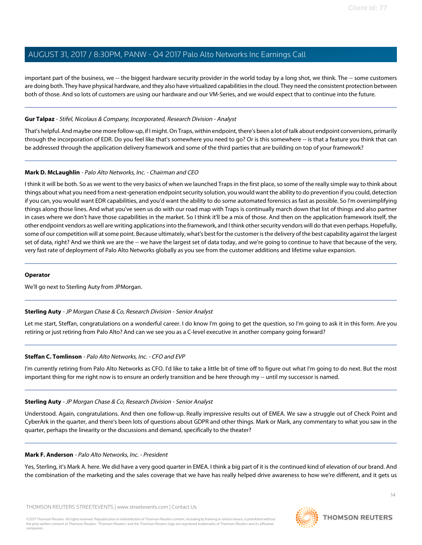important part of the business, we -- the biggest hardware security provider in the world today by a long shot, we think. The -- some customers are doing both. They have physical hardware, and they also have virtualized capabilities in the cloud. They need the consistent protection between both of those. And so lots of customers are using our hardware and our VM-Series, and we would expect that to continue into the future.

# **Gur Talpaz** - Stifel, Nicolaus & Company, Incorporated, Research Division - Analyst

That's helpful. And maybe one more follow-up, if I might. On Traps, within endpoint, there's been a lot of talk about endpoint conversions, primarily through the incorporation of EDR. Do you feel like that's somewhere you need to go? Or is this somewhere -- is that a feature you think that can be addressed through the application delivery framework and some of the third parties that are building on top of your framework?

# **Mark D. McLaughlin** - Palo Alto Networks, Inc. - Chairman and CEO

I think it will be both. So as we went to the very basics of when we launched Traps in the first place, so some of the really simple way to think about things about what you need from a next-generation endpoint security solution, you would want the ability to do prevention if you could, detection if you can, you would want EDR capabilities, and you'd want the ability to do some automated forensics as fast as possible. So I'm oversimplifying things along those lines. And what you've seen us do with our road map with Traps is continually march down that list of things and also partner in cases where we don't have those capabilities in the market. So I think it'll be a mix of those. And then on the application framework itself, the other endpoint vendors as well are writing applications into the framework, and I think other security vendors will do that even perhaps. Hopefully, some of our competition will at some point. Because ultimately, what's best for the customer is the delivery of the best capability against the largest set of data, right? And we think we are the -- we have the largest set of data today, and we're going to continue to have that because of the very, very fast rate of deployment of Palo Alto Networks globally as you see from the customer additions and lifetime value expansion.

### **Operator**

<span id="page-13-0"></span>We'll go next to Sterling Auty from JPMorgan.

### **Sterling Auty** - JP Morgan Chase & Co, Research Division - Senior Analyst

Let me start, Steffan, congratulations on a wonderful career. I do know I'm going to get the question, so I'm going to ask it in this form. Are you retiring or just retiring from Palo Alto? And can we see you as a C-level executive in another company going forward?

# **Steffan C. Tomlinson** - Palo Alto Networks, Inc. - CFO and EVP

I'm currently retiring from Palo Alto Networks as CFO. I'd like to take a little bit of time off to figure out what I'm going to do next. But the most important thing for me right now is to ensure an orderly transition and be here through my -- until my successor is named.

### **Sterling Auty** - JP Morgan Chase & Co, Research Division - Senior Analyst

Understood. Again, congratulations. And then one follow-up. Really impressive results out of EMEA. We saw a struggle out of Check Point and CyberArk in the quarter, and there's been lots of questions about GDPR and other things. Mark or Mark, any commentary to what you saw in the quarter, perhaps the linearity or the discussions and demand, specifically to the theater?

### **Mark F. Anderson** - Palo Alto Networks, Inc. - President

Yes, Sterling, it's Mark A. here. We did have a very good quarter in EMEA. I think a big part of it is the continued kind of elevation of our brand. And the combination of the marketing and the sales coverage that we have has really helped drive awareness to how we're different, and it gets us

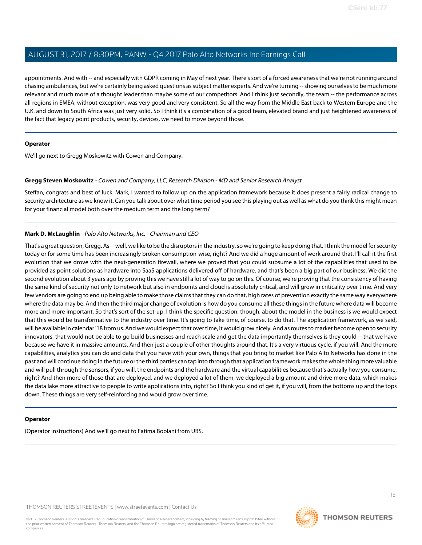appointments. And with -- and especially with GDPR coming in May of next year. There's sort of a forced awareness that we're not running around chasing ambulances, but we're certainly being asked questions as subject matter experts. And we're turning -- showing ourselves to be much more relevant and much more of a thought leader than maybe some of our competitors. And I think just secondly, the team -- the performance across all regions in EMEA, without exception, was very good and very consistent. So all the way from the Middle East back to Western Europe and the U.K. and down to South Africa was just very solid. So I think it's a combination of a good team, elevated brand and just heightened awareness of the fact that legacy point products, security, devices, we need to move beyond those.

### **Operator**

<span id="page-14-0"></span>We'll go next to Gregg Moskowitz with Cowen and Company.

# **Gregg Steven Moskowitz** - Cowen and Company, LLC, Research Division - MD and Senior Research Analyst

Steffan, congrats and best of luck. Mark, I wanted to follow up on the application framework because it does present a fairly radical change to security architecture as we know it. Can you talk about over what time period you see this playing out as well as what do you think this might mean for your financial model both over the medium term and the long term?

# **Mark D. McLaughlin** - Palo Alto Networks, Inc. - Chairman and CEO

That's a great question, Gregg. As -- well, we like to be the disruptors in the industry, so we're going to keep doing that. I think the model for security today or for some time has been increasingly broken consumption-wise, right? And we did a huge amount of work around that. I'll call it the first evolution that we drove with the next-generation firewall, where we proved that you could subsume a lot of the capabilities that used to be provided as point solutions as hardware into SaaS applications delivered off of hardware, and that's been a big part of our business. We did the second evolution about 3 years ago by proving this we have still a lot of way to go on this. Of course, we're proving that the consistency of having the same kind of security not only to network but also in endpoints and cloud is absolutely critical, and will grow in criticality over time. And very few vendors are going to end up being able to make those claims that they can do that, high rates of prevention exactly the same way everywhere where the data may be. And then the third major change of evolution is how do you consume all these things in the future where data will become more and more important. So that's sort of the set-up. I think the specific question, though, about the model in the business is we would expect that this would be transformative to the industry over time. It's going to take time, of course, to do that. The application framework, as we said, will be available in calendar '18 from us. And we would expect that over time, it would grow nicely. And as routes to market become open to security innovators, that would not be able to go build businesses and reach scale and get the data importantly themselves is they could -- that we have because we have it in massive amounts. And then just a couple of other thoughts around that. It's a very virtuous cycle, if you will. And the more capabilities, analytics you can do and data that you have with your own, things that you bring to market like Palo Alto Networks has done in the past and will continue doing in the future or the third parties can tap into through that application framework makes the whole thing more valuable and will pull through the sensors, if you will, the endpoints and the hardware and the virtual capabilities because that's actually how you consume, right? And then more of those that are deployed, and we deployed a lot of them, we deployed a big amount and drive more data, which makes the data lake more attractive to people to write applications into, right? So I think you kind of get it, if you will, from the bottoms up and the tops down. These things are very self-reinforcing and would grow over time.

### **Operator**

(Operator Instructions) And we'll go next to Fatima Boolani from UBS.

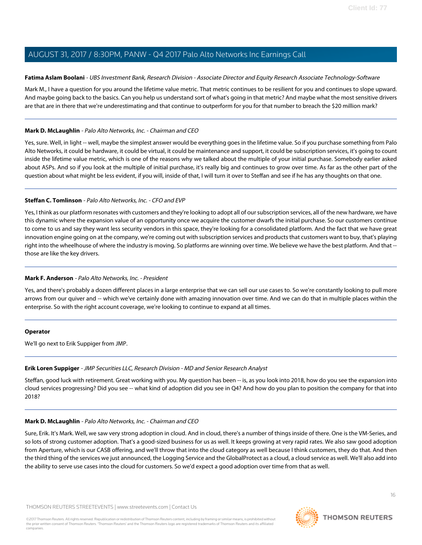# <span id="page-15-1"></span>**Fatima Aslam Boolani** - UBS Investment Bank, Research Division - Associate Director and Equity Research Associate Technology-Software

Mark M., I have a question for you around the lifetime value metric. That metric continues to be resilient for you and continues to slope upward. And maybe going back to the basics. Can you help us understand sort of what's going in that metric? And maybe what the most sensitive drivers are that are in there that we're underestimating and that continue to outperform for you for that number to breach the \$20 million mark?

# **Mark D. McLaughlin** - Palo Alto Networks, Inc. - Chairman and CEO

Yes, sure. Well, in light -- well, maybe the simplest answer would be everything goes in the lifetime value. So if you purchase something from Palo Alto Networks, it could be hardware, it could be virtual, it could be maintenance and support, it could be subscription services, it's going to count inside the lifetime value metric, which is one of the reasons why we talked about the multiple of your initial purchase. Somebody earlier asked about ASPs. And so if you look at the multiple of initial purchase, it's really big and continues to grow over time. As far as the other part of the question about what might be less evident, if you will, inside of that, I will turn it over to Steffan and see if he has any thoughts on that one.

# **Steffan C. Tomlinson** - Palo Alto Networks, Inc. - CFO and EVP

Yes, I think as our platform resonates with customers and they're looking to adopt all of our subscription services, all of the new hardware, we have this dynamic where the expansion value of an opportunity once we acquire the customer dwarfs the initial purchase. So our customers continue to come to us and say they want less security vendors in this space, they're looking for a consolidated platform. And the fact that we have great innovation engine going on at the company, we're coming out with subscription services and products that customers want to buy, that's playing right into the wheelhouse of where the industry is moving. So platforms are winning over time. We believe we have the best platform. And that -those are like the key drivers.

# **Mark F. Anderson** - Palo Alto Networks, Inc. - President

Yes, and there's probably a dozen different places in a large enterprise that we can sell our use cases to. So we're constantly looking to pull more arrows from our quiver and -- which we've certainly done with amazing innovation over time. And we can do that in multiple places within the enterprise. So with the right account coverage, we're looking to continue to expand at all times.

### <span id="page-15-0"></span>**Operator**

We'll go next to Erik Suppiger from JMP.

### **Erik Loren Suppiger** - JMP Securities LLC, Research Division - MD and Senior Research Analyst

Steffan, good luck with retirement. Great working with you. My question has been -- is, as you look into 2018, how do you see the expansion into cloud services progressing? Did you see -- what kind of adoption did you see in Q4? And how do you plan to position the company for that into 2018?

### **Mark D. McLaughlin** - Palo Alto Networks, Inc. - Chairman and CEO

Sure, Erik. It's Mark. Well, we saw very strong adoption in cloud. And in cloud, there's a number of things inside of there. One is the VM-Series, and so lots of strong customer adoption. That's a good-sized business for us as well. It keeps growing at very rapid rates. We also saw good adoption from Aperture, which is our CASB offering, and we'll throw that into the cloud category as well because I think customers, they do that. And then the third thing of the services we just announced, the Logging Service and the GlobalProtect as a cloud, a cloud service as well. We'll also add into the ability to serve use cases into the cloud for customers. So we'd expect a good adoption over time from that as well.

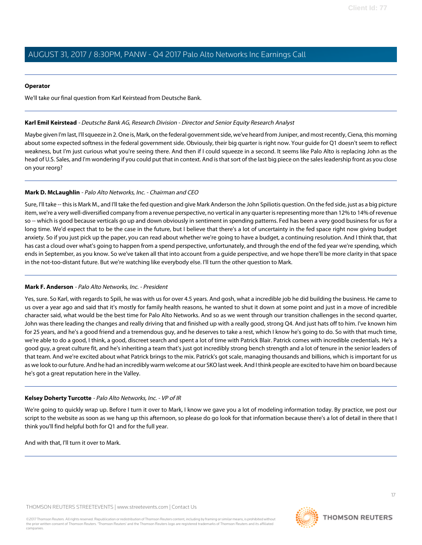### **Operator**

We'll take our final question from Karl Keirstead from Deutsche Bank.

# <span id="page-16-0"></span>**Karl Emil Keirstead** - Deutsche Bank AG, Research Division - Director and Senior Equity Research Analyst

Maybe given I'm last, I'll squeeze in 2. One is, Mark, on the federal government side, we've heard from Juniper, and most recently, Ciena, this morning about some expected softness in the federal government side. Obviously, their big quarter is right now. Your guide for Q1 doesn't seem to reflect weakness, but I'm just curious what you're seeing there. And then if I could squeeze in a second. It seems like Palo Alto is replacing John as the head of U.S. Sales, and I'm wondering if you could put that in context. And is that sort of the last big piece on the sales leadership front as you close on your reorg?

# **Mark D. McLaughlin** - Palo Alto Networks, Inc. - Chairman and CEO

Sure, I'll take -- this is Mark M., and I'll take the fed question and give Mark Anderson the John Spiliotis question. On the fed side, just as a big picture item, we're a very well-diversified company from a revenue perspective, no vertical in any quarter is representing more than 12% to 14% of revenue so -- which is good because verticals go up and down obviously in sentiment in spending patterns. Fed has been a very good business for us for a long time. We'd expect that to be the case in the future, but I believe that there's a lot of uncertainty in the fed space right now giving budget anxiety. So if you just pick up the paper, you can read about whether we're going to have a budget, a continuing resolution. And I think that, that has cast a cloud over what's going to happen from a spend perspective, unfortunately, and through the end of the fed year we're spending, which ends in September, as you know. So we've taken all that into account from a guide perspective, and we hope there'll be more clarity in that space in the not-too-distant future. But we're watching like everybody else. I'll turn the other question to Mark.

### **Mark F. Anderson** - Palo Alto Networks, Inc. - President

Yes, sure. So Karl, with regards to Spili, he was with us for over 4.5 years. And gosh, what a incredible job he did building the business. He came to us over a year ago and said that it's mostly for family health reasons, he wanted to shut it down at some point and just in a move of incredible character said, what would be the best time for Palo Alto Networks. And so as we went through our transition challenges in the second quarter, John was there leading the changes and really driving that and finished up with a really good, strong Q4. And just hats off to him. I've known him for 25 years, and he's a good friend and a tremendous guy, and he deserves to take a rest, which I know he's going to do. So with that much time, we're able to do a good, I think, a good, discreet search and spent a lot of time with Patrick Blair. Patrick comes with incredible credentials. He's a good guy, a great culture fit, and he's inheriting a team that's just got incredibly strong bench strength and a lot of tenure in the senior leaders of that team. And we're excited about what Patrick brings to the mix. Patrick's got scale, managing thousands and billions, which is important for us as we look to our future. And he had an incredibly warm welcome at our SKO last week. And I think people are excited to have him on board because he's got a great reputation here in the Valley.

### **Kelsey Doherty Turcotte** - Palo Alto Networks, Inc. - VP of IR

We're going to quickly wrap up. Before I turn it over to Mark, I know we gave you a lot of modeling information today. By practice, we post our script to the website as soon as we hang up this afternoon, so please do go look for that information because there's a lot of detail in there that I think you'll find helpful both for Q1 and for the full year.

And with that, I'll turn it over to Mark.



**THOMSON REUTERS**